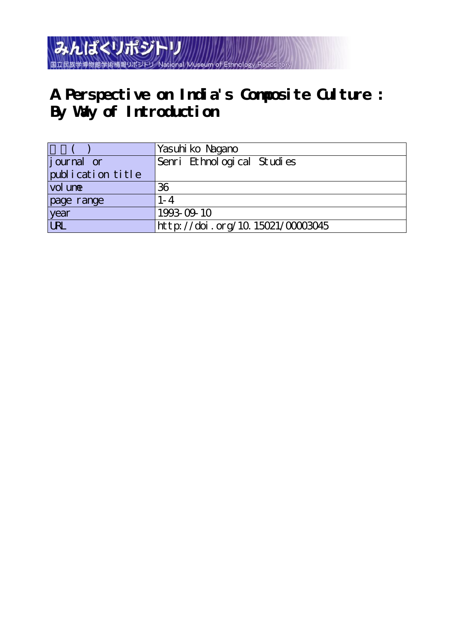### みんぱくリポジトリ 国立民族学博物館学術情報リポジトリ **National Museum**

# **A Perspective on India's Composite Culture : By Way of Introduction**

|                   | Yasuhi ko Nagano                 |
|-------------------|----------------------------------|
| journal or        | Senri Ethnological Studies       |
| publication title |                                  |
| vol une           | 36                               |
| page range        | $1 - 4$                          |
| year              | 1993-09-10                       |
| URL               | http://doi.org/10.15021/00003045 |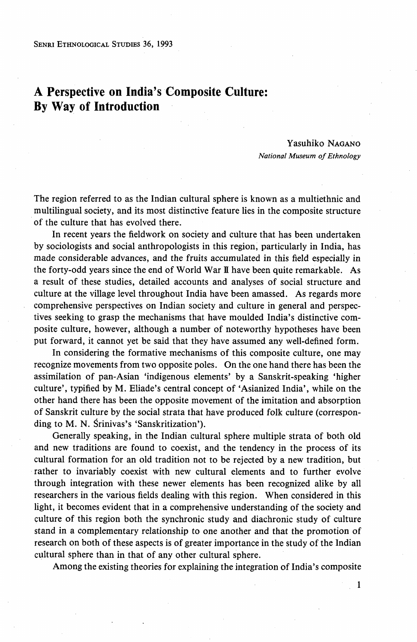SENRI ETHNOLoGIcAL STuDIEs 36, 1993

## A Perspective on India's Composite Culture: By Way of Introduction

#### Yasuhiko NAGANO National Museum of Ethnology

The region referred to as the Indian cultural sphere is known as a multiethnic and multilingual society, and its most distinctive feature lies in the composite structure of the culture that has evolved there.

 In recent years the fieldwork on society and culture that has been undertaken by sociologists and social anthropologists in this region, particularly in India, has made considerable advances, and the fruits accumulated in this field especially in the forty-odd years since the end of World War ll have been quite remarkable. As a result of these studies, detailed accounts and analyses of social structure and culture at the village level throughout India have been amassed. As regards more comprehensive perspectives on Indian society and culture in general and perspectives seeking to grasp the mechanisms that have moulded India's distinctive composite culture, however, although a number of noteworthy hypotheses have been put forward, it cannot yet be said that they have assumed any well-defined form.

 In considering the formative mechanisms of this composite culture, one may recognize movements from two opposite poles. On the one hand there has been the assimilation of pan-Asian `indigenous elements' by a Sanskrit-speaking `higher culture', typified by M. Eliade's central concept of `Asianized India', while on the other hand there has been the opposite movement of the imitation and absorption of Sanskrit culture by the social strata that have produced folk culture (corresponding to M. N. Srinivas's 'Sanskritization').

 Generally speaking, in the Indian cultural sphere multiple strata of both old and new traditions are found to coexist, and the tendency in the process of its cultural formation for an old tradition not to be rejected by a new tradition, but rather to invariably coexist with new cultural elements and to further evolve through integration with these newer elements has been recognized alike by all researchers in the various fields dealing with this region. When considered in this light, it becomes evident that in a comprehensive understanding of the society and culture of this region both the synchronic study and diachronic study of culture stand in a complementary relationship to one another and that the promotion of research on both of these aspects is of greater importance in the study of the Indian cultural sphere than in that of any other cultural sphere.

Among the existing theories for explaining the integration of India's composjte

 $\mathcal{L}_1$  , and the set of the set of the set of the set of the set of the set of the set of the set of the set of the set of the set of the set of the set of the set of the set of the set of the set of the set of the set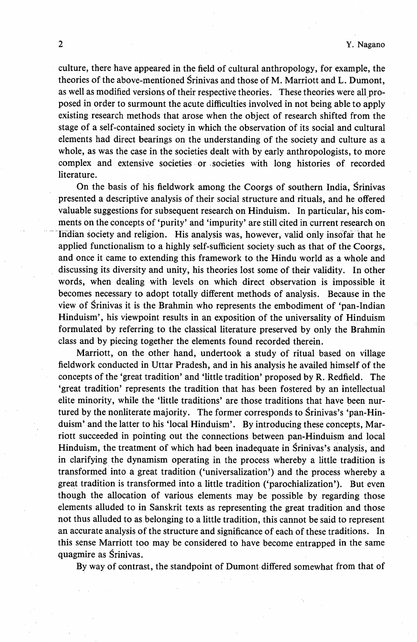culture, there have appeared in the field of cultural anthropology, for example, the theories of the above-mentioned Srinivas and those of M. Marriott and L. Dumont, as well as modified versions of their respective theories. These theories were all pro posed in order to surmount the acute diMculties involved in not being able to apply existing research methods that arose when the object of research shifted from'the stage of a self-contained society in which the observation of its social and cultural elements had direct bearings on the understanding of the society and culture as a whole, as was the case in the societies dealt with by early anthropologists, to more complex and extensive societies or ・societies with long histories of recorded literature.

 On the basis of his fieldwork among the Coorgs of southern India, Srinivas -presented a descriptive analysis df their social structure and rituals, and he offered valuable suggestions for subsequent research on Hinduism. In particular, his comments on the concepts of 'purity' and 'impurity' are still cited in current research on Indian society and religion. His analysis was, however, valid only insofar that he applied functionalism to a highly self-sufficient society such as that of the Coorgs, and once it came to extending this framework to the Hindu world as a whole and discussing its diversity and unity, his theories lost some of their validity. In other words, when dealing with levels on which direct observation is impossible it becomes necessary to adopt totally different methods of analysis. Because in the view of Srinivas it is the Brahmin who represents the embodiment of `pan-Indian Hinduism', his viewpoint results in an exposition of the universality of Hinduism formulated by referring to the classical literature preserved by only the Brahmin class and by piecing together the elements found recorded therein.

 Marriott, on the other hand, undertook a study of ritual based on village fieldwork conducted in Uttar Pradesh, and in his analysis he availed himself of the concepts of the `great tradition' and `little tradition' proposed by R. Redfield. The `great tradition' represents the tradition that has been fostered by an intellectual elite minority, while the 'little traditions' are those traditions that have been nur tured by the nonliterate majority. The former corresponds to Srinivas's `pan-Hin duism' and the latter to his 'local Hinduism'. By introducing these concepts, Mar riott succeeded in pointing out the connections between pan-Hinduism and local Hinduism, the treatment of which had been inadequate in Srinivas's analysis, and in clarifying the dynamism operating in the process whereby a little tradition is transformed into a great tradition ('universalization') and the process whereby a great tradition is transformed into a little tradition (`parochialization'). But even though the allocation of various elements may be possible by regarding those elements alluded to in Sanskrit texts as representing the great tradition and those not thus alluded to as belonging to a little tradition, this cannot be said to represent an accurate analysis of the structure and significance of each of these traditions. In this sense Marriott too may be considered to have become entrapped in the same quagmire as Srinivas.

By way of contrast, the standpoint of Dumont differed somewhat from that of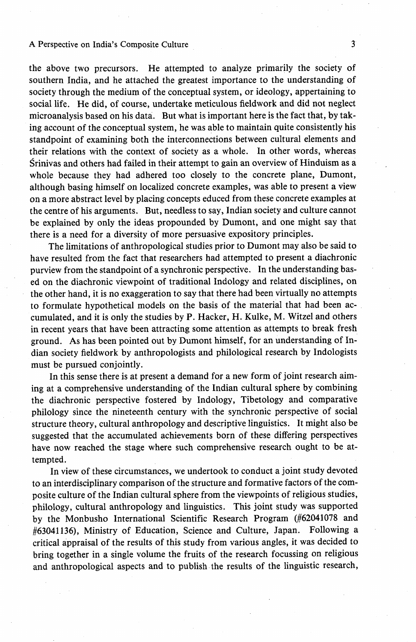#### A Perspective on India's Composite Culture 3

the above two precursors. He attempted to analyze primarily the society of southern India, and he attached the greatest importance to the understanding of society through the medium of the conceptual system, or ideology, appertaining to social life. He did, of course, undertake meticulous fieldwork and did not neglect microanalysis based on his data. But what is important here is the fact that, by taking account of the conceptual system, he was able to maintain quite consistently his standpoint of examining both the interconnections between cultural elements and their relations with the context of society as a whole. In other words, whereas Srinivas and others had failed in their attempt to gain an overview of Hinduism as a whole because they had adhered too closely to the concrete plane, Dumont, although basing himself on localized concrete examples, was able to present a view on a more abstract level by placing concepts educed from these concrete examples at the centre of his arguments. But, needless to say, Indian society and culture cannot be explained by only the ideas propounded by Dumont, and one might say that there is a need for a diversity of more persuasive expository principles.

 The limitations of anthropological studies prior to Dumont may also be said to have resulted from the fact that researchers had attempted to present a diachronic purview from the standpoint of a synchronic perspective. In the understanding based on the diachronic viewpoint of traditional Indology and related disciplines, on the other hand, it is no exaggeration to say that there had been virtually no attempts to formulate hypothetical models on the basis of the material that had been accumulated, and it is only the studies by P. Hacker, H. Kulke, M. Witzel and others in recent years that have been attracting some attention as attempts to break fresh ground. As has been pointed out by Dumont himself, for an understanding of Indian society fieldwork by anthropologists and philological research by Indologists must be pursued conjointly.

In this sense there is at present a demand for a new form of joint research aiming at a comprehensive understanding of the Indian cultural sphere by combining the diachronic perspective fostered by Indology, Tibetology and comparative philology since the nineteenth century with the synchronic perspective of social structure theory, cultural anthropology and descriptive linguistics. It might also be suggested that the accumulated achievements born of these differing perspectives have now reached the stage where such comprehensive research ought to be attempted.

 In view of these circumstances, we undertook to conduct a joint study devoted to an interdisciplinary comparison of the structure and formative factors of the composite culture of the Indian cultural sphere from the viewpoints of religious studies, philology, cultural anthropology and linguistics. This joint study was supported by the Monbusho International Scientific Research Program (#62041078 and #63041136), Ministry of Education, Science and Culture, Japan. Following a critical appraisal of the results of this study from various angles, it was decided to bring together in a single volume the fruits of the research focussing on religious and anthropological aspects and to publish the results of the linguistic research,